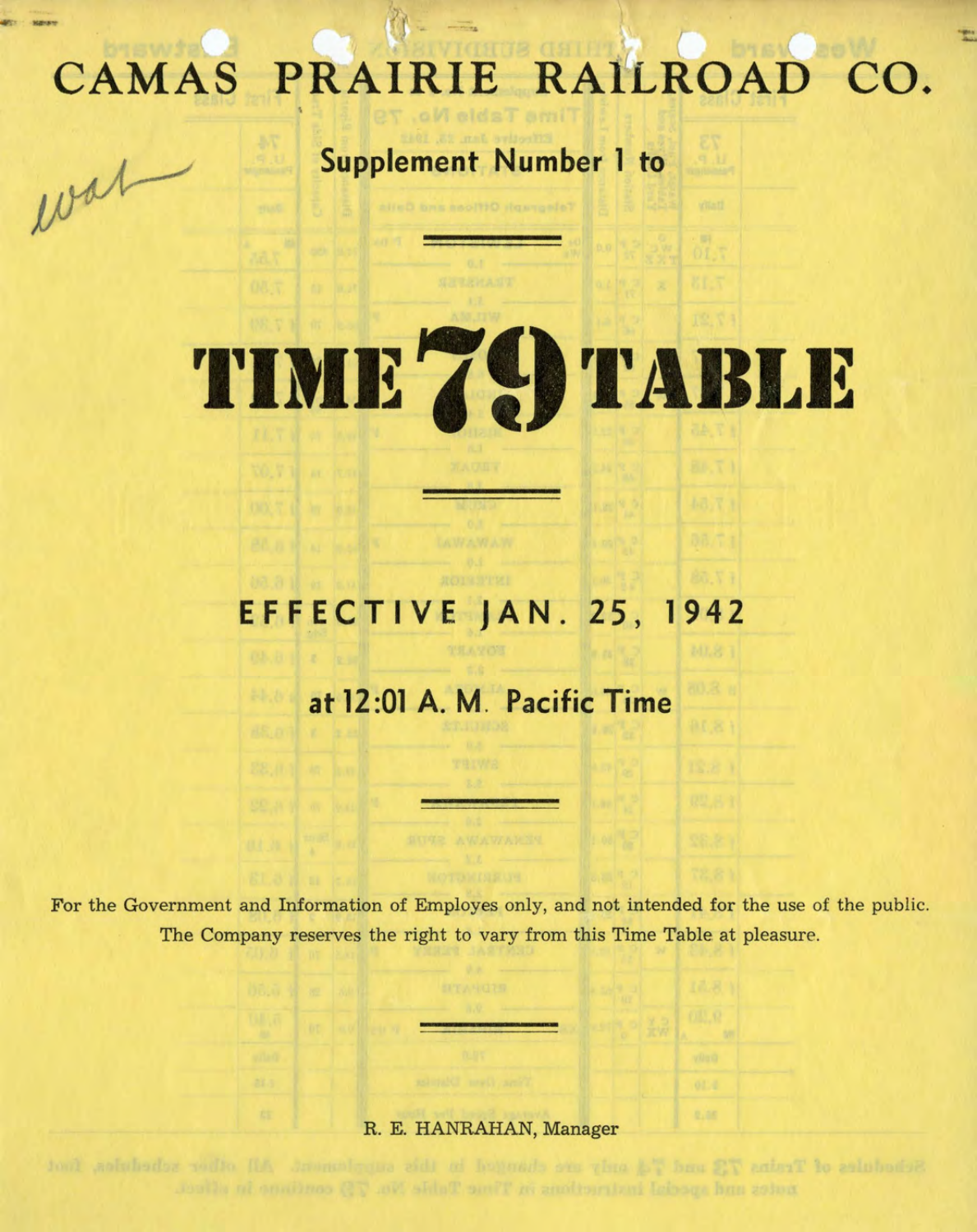## CAMAS PRAIRIE RAILROAD CO.

**Supplement Number 1 to** 

wat

## TIME 79 TABLE

## **E F F \_E C T I V E J A N . 2 5 , 1 9 4 2**

## **at 12:01 A. M. Pacific Time**

For the Government and Information of Employes only, and not intended for the use of the public. The Company reserves the right to vary from this Time Table at pleasure.

R. E. HANRAHAN, Manager

0.00

Schodules of Trains 72 and 74 andy are changed in this supplement. All other schedules, inc. notes and appeals including in Time Saint No. 75 continue in alluce.